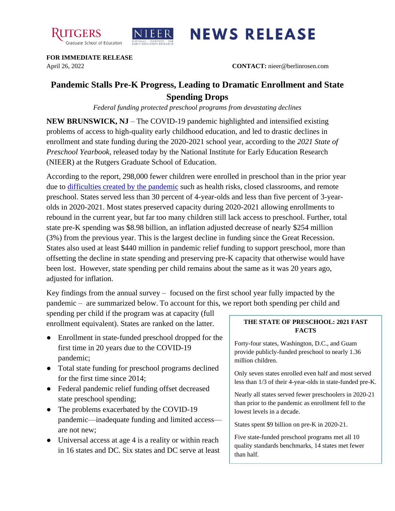



## **NEWS RELEASE**

**FOR IMMEDIATE RELEASE**

April 26, 2022 **CONTACT:** nieer@berlinrosen.com

## **Pandemic Stalls Pre-K Progress, Leading to Dramatic Enrollment and State Spending Drops**

*Federal funding protected preschool programs from devastating declines*

**NEW BRUNSWICK, NJ** – The COVID-19 pandemic highlighted and intensified existing problems of access to high-quality early childhood education, and led to drastic declines in enrollment and state funding during the 2020-2021 school year, according to the *2021 State of Preschool Yearbook,* released today by the National Institute for Early Education Research (NIEER) at the Rutgers Graduate School of Education.

According to the report, 298,000 fewer children were enrolled in preschool than in the prior year due to [difficulties created by the pandemic](https://nieer.org/wp-content/uploads/2021/02/NIEER_Seven_Impacts_of_the_Pandemic_on_Young_Children_and_their_Parents.pdf) such as health risks, closed classrooms, and remote preschool. States served less than 30 percent of 4-year-olds and less than five percent of 3-yearolds in 2020-2021. Most states preserved capacity during 2020-2021 allowing enrollments to rebound in the current year, but far too many children still lack access to preschool. Further, total state pre-K spending was \$8.98 billion, an inflation adjusted decrease of nearly \$254 million (3%) from the previous year. This is the largest decline in funding since the Great Recession. States also used at least \$440 million in pandemic relief funding to support preschool, more than offsetting the decline in state spending and preserving pre-K capacity that otherwise would have been lost. However, state spending per child remains about the same as it was 20 years ago, adjusted for inflation.

Key findings from the annual survey – focused on the first school year fully impacted by the pandemic – are summarized below. To account for this, we report both spending per child and

spending per child if the program was at capacity (full enrollment equivalent). States are ranked on the latter.

- Enrollment in state-funded preschool dropped for the first time in 20 years due to the COVID-19 pandemic;
- Total state funding for preschool programs declined for the first time since 2014;
- Federal pandemic relief funding offset decreased state preschool spending;
- The problems exacerbated by the COVID-19 pandemic—inadequate funding and limited access are not new;
- Universal access at age 4 is a reality or within reach in 16 states and DC. Six states and DC serve at least

## **THE STATE OF PRESCHOOL: 2021 FAST FACTS**

Forty-four states, Washington, D.C., and Guam provide publicly-funded preschool to nearly 1.36 million children.

Only seven states enrolled even half and most served less than 1/3 of their 4-year-olds in state-funded pre-K.

Nearly all states served fewer preschoolers in 2020-21 than prior to the pandemic as enrollment fell to the lowest levels in a decade.

States spent \$9 billion on pre-K in 2020-21.

Five state-funded preschool programs met all 10 quality standards benchmarks, 14 states met fewer than half.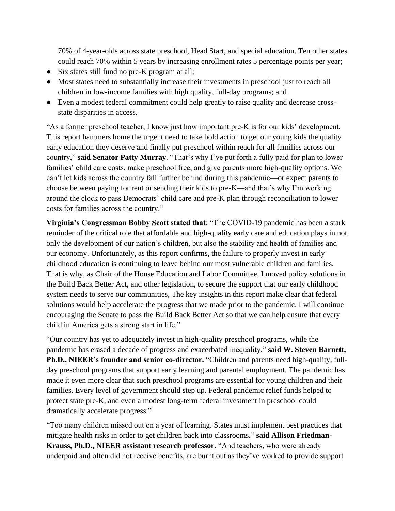70% of 4-year-olds across state preschool, Head Start, and special education. Ten other states could reach 70% within 5 years by increasing enrollment rates 5 percentage points per year;

- Six states still fund no pre-K program at all;
- Most states need to substantially increase their investments in preschool just to reach all children in low-income families with high quality, full-day programs; and
- Even a modest federal commitment could help greatly to raise quality and decrease crossstate disparities in access.

"As a former preschool teacher, I know just how important pre-K is for our kids' development. This report hammers home the urgent need to take bold action to get our young kids the quality early education they deserve and finally put preschool within reach for all families across our country," **said Senator Patty Murray**. "That's why I've put forth a fully paid for plan to lower families' child care costs, make preschool free, and give parents more high-quality options. We can't let kids across the country fall further behind during this pandemic—or expect parents to choose between paying for rent or sending their kids to pre-K—and that's why I'm working around the clock to pass Democrats' child care and pre-K plan through reconciliation to lower costs for families across the country."

**Virginia's Congressman Bobby Scott stated that**: "The COVID-19 pandemic has been a stark reminder of the critical role that affordable and high-quality early care and education plays in not only the development of our nation's children, but also the stability and health of families and our economy. Unfortunately, as this report confirms, the failure to properly invest in early childhood education is continuing to leave behind our most vulnerable children and families. That is why, as Chair of the House Education and Labor Committee, I moved policy solutions in the Build Back Better Act, and other legislation, to secure the support that our early childhood system needs to serve our communities, The key insights in this report make clear that federal solutions would help accelerate the progress that we made prior to the pandemic. I will continue encouraging the Senate to pass the Build Back Better Act so that we can help ensure that every child in America gets a strong start in life."

"Our country has yet to adequately invest in high-quality preschool programs, while the pandemic has erased a decade of progress and exacerbated inequality," **said W. Steven Barnett, Ph.D., NIEER's founder and senior co-director.** "Children and parents need high-quality, fullday preschool programs that support early learning and parental employment. The pandemic has made it even more clear that such preschool programs are essential for young children and their families. Every level of government should step up. Federal pandemic relief funds helped to protect state pre-K, and even a modest long-term federal investment in preschool could dramatically accelerate progress."

"Too many children missed out on a year of learning. States must implement best practices that mitigate health risks in order to get children back into classrooms," **said Allison Friedman-Krauss, Ph.D., NIEER assistant research professor.** "And teachers, who were already underpaid and often did not receive benefits, are burnt out as they've worked to provide support